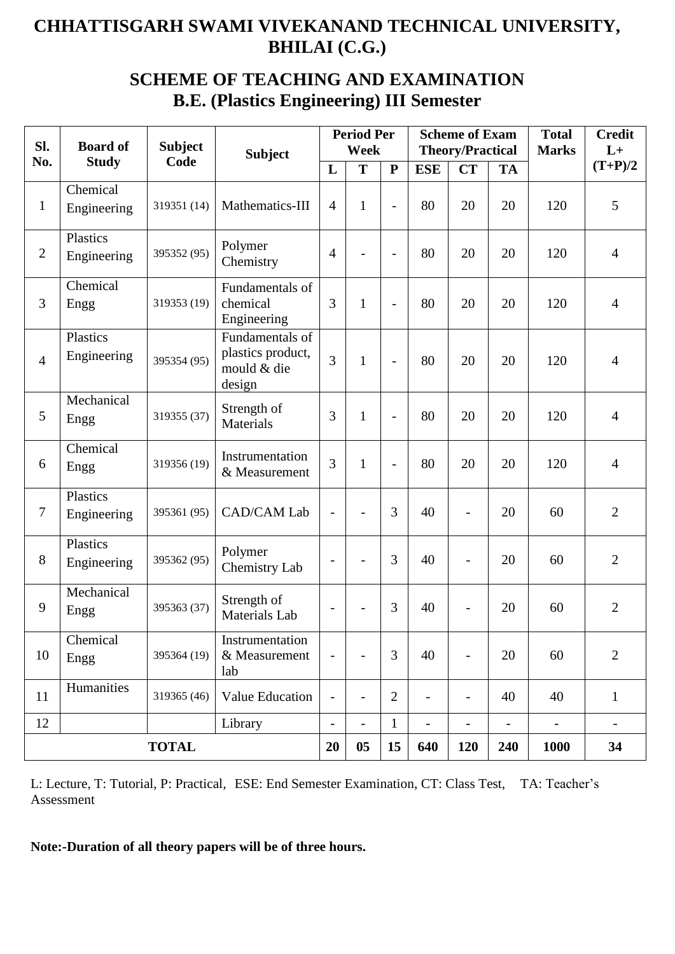## **SCHEME OF TEACHING AND EXAMINATION B.E. (Plastics Engineering) III Semester**

| SI.            | <b>Board of</b>         | <b>Subject</b> | <b>Subject</b>                                                |                          | <b>Period Per</b><br><b>Week</b> |                |                              | <b>Scheme of Exam</b><br><b>Theory/Practical</b> |                              | <b>Total</b><br><b>Marks</b> | <b>Credit</b><br>$L+$    |
|----------------|-------------------------|----------------|---------------------------------------------------------------|--------------------------|----------------------------------|----------------|------------------------------|--------------------------------------------------|------------------------------|------------------------------|--------------------------|
| No.            | <b>Study</b>            | Code           |                                                               | L                        | T                                | ${\bf P}$      | <b>ESE</b>                   | <b>CT</b>                                        | <b>TA</b>                    |                              | $(T+P)/2$                |
| $\mathbf{1}$   | Chemical<br>Engineering | 319351 (14)    | Mathematics-III                                               | $\overline{4}$           | $\mathbf{1}$                     | $\overline{a}$ | 80                           | 20                                               | 20                           | 120                          | 5                        |
| $\overline{2}$ | Plastics<br>Engineering | 395352 (95)    | Polymer<br>Chemistry                                          | $\overline{4}$           | $\overline{\phantom{0}}$         | $\overline{a}$ | 80                           | 20                                               | 20                           | 120                          | $\overline{4}$           |
| 3              | Chemical<br>Engg        | 319353 (19)    | Fundamentals of<br>chemical<br>Engineering                    | 3                        | $\mathbf{1}$                     | $\overline{a}$ | 80                           | 20                                               | 20                           | 120                          | $\overline{4}$           |
| $\overline{4}$ | Plastics<br>Engineering | 395354 (95)    | Fundamentals of<br>plastics product,<br>mould & die<br>design | 3                        | $\mathbf{1}$                     | $\overline{a}$ | 80                           | 20                                               | 20                           | 120                          | $\overline{4}$           |
| 5              | Mechanical<br>Engg      | 319355 (37)    | Strength of<br><b>Materials</b>                               | 3                        | $\mathbf{1}$                     | $\overline{a}$ | 80                           | 20                                               | 20                           | 120                          | $\overline{4}$           |
| 6              | Chemical<br>Engg        | 319356 (19)    | Instrumentation<br>& Measurement                              | 3                        | $\mathbf{1}$                     | $\overline{a}$ | 80                           | 20                                               | 20                           | 120                          | $\overline{4}$           |
| $\tau$         | Plastics<br>Engineering | 395361 (95)    | <b>CAD/CAM Lab</b>                                            | $\overline{\phantom{a}}$ | $\overline{a}$                   | 3              | 40                           | $\overline{\phantom{a}}$                         | 20                           | 60                           | $\overline{2}$           |
| 8              | Plastics<br>Engineering | 395362 (95)    | Polymer<br>Chemistry Lab                                      |                          | $\overline{\phantom{0}}$         | 3              | 40                           | $\overline{\phantom{a}}$                         | 20                           | 60                           | $\overline{2}$           |
| 9              | Mechanical<br>Engg      | 395363 (37)    | Strength of<br>Materials Lab                                  |                          |                                  | 3              | 40                           |                                                  | 20                           | 60                           | $\overline{2}$           |
| 10             | Chemical<br>Engg        | 395364 (19)    | Instrumentation<br>& Measurement<br>lab                       | $\overline{\phantom{a}}$ |                                  | 3              | 40                           | $\qquad \qquad -$                                | 20                           | 60                           | $\overline{2}$           |
| 11             | Humanities              | 319365 (46)    | <b>Value Education</b>                                        | $\overline{\phantom{a}}$ | $\overline{a}$                   | $\overline{2}$ | $\qquad \qquad \blacksquare$ | $\qquad \qquad -$                                | 40                           | 40                           | $\mathbf{1}$             |
| 12             | Library                 |                |                                                               | $\overline{\phantom{a}}$ | $\overline{\phantom{0}}$         | $\mathbf{1}$   | $\overline{\phantom{0}}$     | $\overline{\phantom{0}}$                         | $\qquad \qquad \blacksquare$ | $\overline{\phantom{0}}$     | $\overline{\phantom{a}}$ |
|                | <b>TOTAL</b>            |                |                                                               | 20                       | 0 <sub>5</sub>                   | 15             | 640                          | <b>120</b>                                       | 240                          | <b>1000</b>                  | 34                       |

L: Lecture, T: Tutorial, P: Practical, ESE: End Semester Examination, CT: Class Test, TA: Teacher's Assessment

**Note:-Duration of all theory papers will be of three hours.**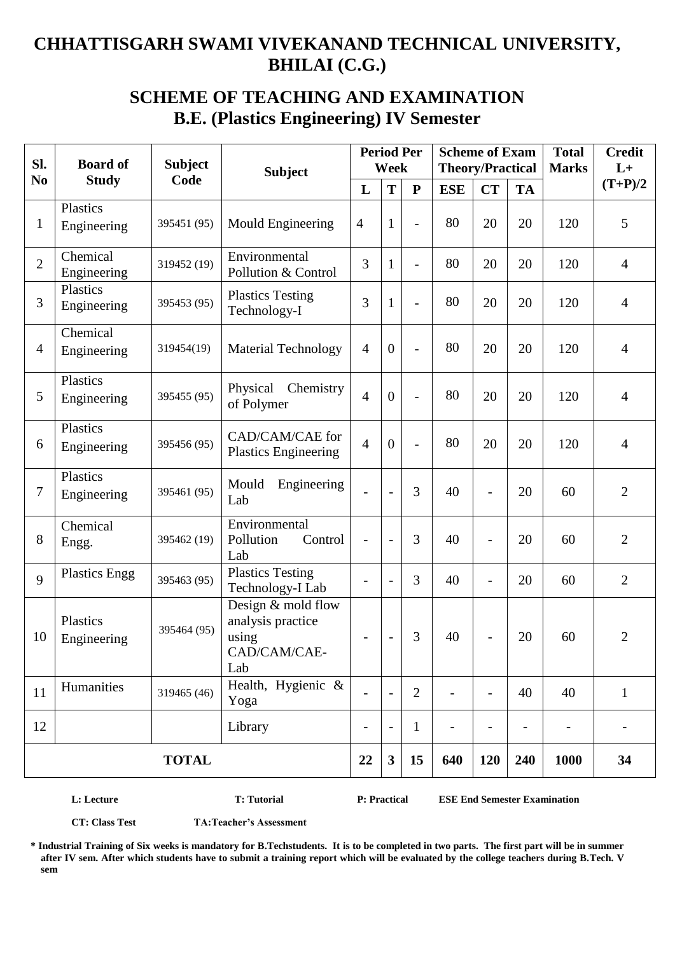### **SCHEME OF TEACHING AND EXAMINATION B.E. (Plastics Engineering) IV Semester**

| Sl.            | <b>Board of</b>         | <b>Subject</b> | <b>Subject</b>                                                          |                          | Week                     | <b>Period Per</b> | <b>Scheme of Exam</b><br><b>Theory/Practical</b> |                          |                          | <b>Total</b><br><b>Marks</b> | <b>Credit</b><br>$L+$ |
|----------------|-------------------------|----------------|-------------------------------------------------------------------------|--------------------------|--------------------------|-------------------|--------------------------------------------------|--------------------------|--------------------------|------------------------------|-----------------------|
| No             | <b>Study</b>            | Code           |                                                                         | L                        | T                        | ${\bf P}$         | <b>ESE</b>                                       | <b>CT</b>                | <b>TA</b>                |                              | $(T+P)/2$             |
| $\mathbf{1}$   | Plastics<br>Engineering | 395451 (95)    | Mould Engineering                                                       | $\overline{4}$           | $\mathbf{1}$             | $\overline{a}$    | 80                                               | 20                       | 20                       | 120                          | 5                     |
| $\overline{2}$ | Chemical<br>Engineering | 319452 (19)    | Environmental<br>Pollution & Control                                    | 3                        | $\mathbf{1}$             | $\overline{a}$    | 80                                               | 20                       | 20                       | 120                          | $\overline{4}$        |
| 3              | Plastics<br>Engineering | 395453 (95)    | <b>Plastics Testing</b><br>Technology-I                                 | 3                        | $\mathbf{1}$             | $\overline{a}$    | 80                                               | 20                       | 20                       | 120                          | 4                     |
| $\overline{4}$ | Chemical<br>Engineering | 319454(19)     | <b>Material Technology</b>                                              | $\overline{4}$           | $\overline{0}$           | $\overline{a}$    | 80                                               | 20                       | 20                       | 120                          | $\overline{4}$        |
| 5              | Plastics<br>Engineering | 395455 (95)    | Physical<br>Chemistry<br>of Polymer                                     | $\overline{4}$           | $\overline{0}$           | $\overline{a}$    | 80                                               | 20                       | 20                       | 120                          | $\overline{4}$        |
| 6              | Plastics<br>Engineering | 395456 (95)    | CAD/CAM/CAE for<br><b>Plastics Engineering</b>                          | $\overline{4}$           | $\overline{0}$           | $\overline{a}$    | 80                                               | 20                       | 20                       | 120                          | $\overline{4}$        |
| $\tau$         | Plastics<br>Engineering | 395461 (95)    | Mould<br>Engineering<br>Lab                                             |                          | $\overline{a}$           | 3                 | 40                                               |                          | 20                       | 60                           | $\overline{2}$        |
| 8              | Chemical<br>Engg.       | 395462 (19)    | Environmental<br>Pollution<br>Control<br>Lab                            | $\overline{\phantom{0}}$ |                          | 3                 | 40                                               | $\overline{a}$           | 20                       | 60                           | $\overline{2}$        |
| 9              | <b>Plastics Engg</b>    | 395463 (95)    | <b>Plastics Testing</b><br>Technology-I Lab                             |                          |                          | 3                 | 40                                               | $\overline{a}$           | 20                       | 60                           | $\overline{2}$        |
| 10             | Plastics<br>Engineering | 395464 (95)    | Design & mold flow<br>analysis practice<br>using<br>CAD/CAM/CAE-<br>Lab | $\overline{\phantom{0}}$ | $\overline{\phantom{a}}$ | 3                 | 40                                               |                          | 20                       | 60                           | $\overline{2}$        |
| 11             | Humanities              | 319465 (46)    | Health, Hygienic &<br>Yoga                                              | $\overline{\phantom{a}}$ | $\overline{\phantom{a}}$ | $\overline{2}$    | $\overline{\phantom{a}}$                         | $\overline{\phantom{a}}$ | 40                       | 40                           | $\mathbf{1}$          |
| 12             |                         |                | Library                                                                 | $\overline{\phantom{a}}$ | $\overline{\phantom{a}}$ | $\mathbf{1}$      | $\overline{\phantom{0}}$                         | $\overline{\phantom{0}}$ | $\overline{\phantom{a}}$ |                              |                       |
|                | <b>TOTAL</b>            |                |                                                                         |                          | $\mathbf{3}$             | 15                | 640                                              | 120                      | 240                      | 1000                         | 34                    |

**L: Lecture T: Tutorial P: Practical ESE End Semester Examination** 

**CT: Class Test TA:Teacher's Assessment**

**\* Industrial Training of Six weeks is mandatory for B.Techstudents. It is to be completed in two parts. The first part will be in summer after IV sem. After which students have to submit a training report which will be evaluated by the college teachers during B.Tech. V sem**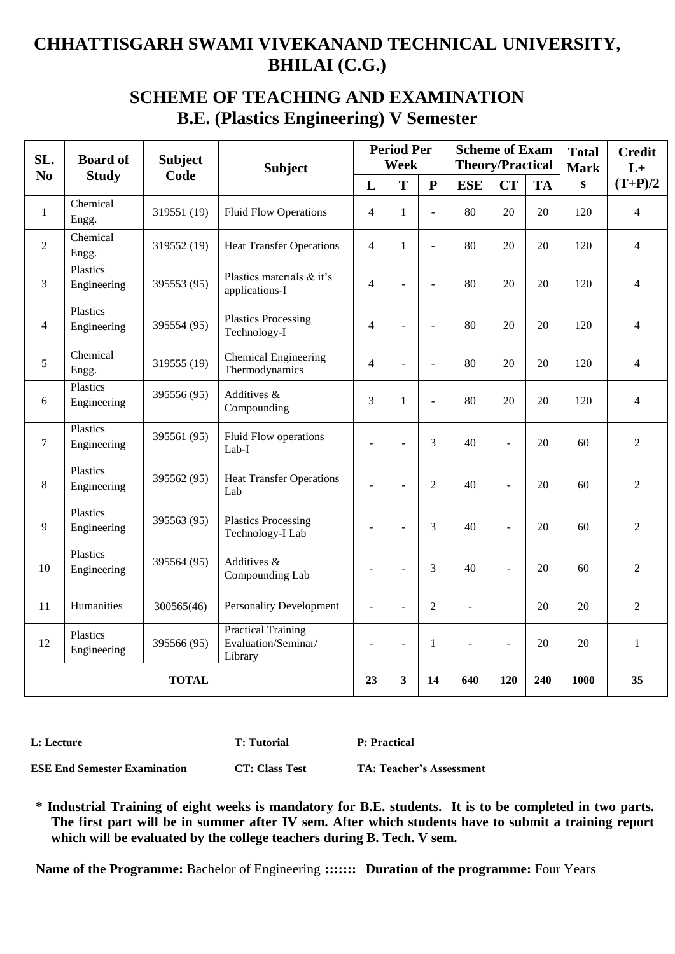### **SCHEME OF TEACHING AND EXAMINATION B.E. (Plastics Engineering) V Semester**

| SL.            | <b>Board of</b>         | <b>Subject</b> | <b>Subject</b>                                              |                | <b>Period Per</b><br>Week |                          | <b>Scheme of Exam</b><br><b>Theory/Practical</b> |                |           | <b>Total</b><br><b>Mark</b> | <b>Credit</b><br>$L+$    |
|----------------|-------------------------|----------------|-------------------------------------------------------------|----------------|---------------------------|--------------------------|--------------------------------------------------|----------------|-----------|-----------------------------|--------------------------|
| N <sub>0</sub> | <b>Study</b>            | Code           |                                                             | L              | T                         | ${\bf P}$                | <b>ESE</b>                                       | <b>CT</b>      | <b>TA</b> | ${\bf S}$                   | $(T+P)/2$                |
| $\mathbf{1}$   | Chemical<br>Engg.       | 319551 (19)    | <b>Fluid Flow Operations</b>                                | $\overline{4}$ | $\mathbf{1}$              | $\sim$                   | 80                                               | 20             | 20        | 120                         | $\overline{\mathcal{L}}$ |
| $\overline{2}$ | Chemical<br>Engg.       | 319552 (19)    | <b>Heat Transfer Operations</b>                             | $\overline{4}$ | 1                         | $\overline{a}$           | 80                                               | 20             | 20        | 120                         | $\overline{\mathcal{L}}$ |
| 3              | Plastics<br>Engineering | 395553 (95)    | Plastics materials & it's<br>applications-I                 | $\overline{4}$ | L                         | L,                       | 80                                               | 20             | 20        | 120                         | $\overline{\mathcal{L}}$ |
| $\overline{4}$ | Plastics<br>Engineering | 395554 (95)    | <b>Plastics Processing</b><br>Technology-I                  | $\overline{4}$ | L                         | L,                       | 80                                               | 20             | 20        | 120                         | $\overline{4}$           |
| 5              | Chemical<br>Engg.       | 319555 (19)    | <b>Chemical Engineering</b><br>Thermodynamics               | $\overline{4}$ | $\overline{a}$            | $\overline{\phantom{a}}$ | 80                                               | 20             | 20        | 120                         | $\overline{\mathcal{L}}$ |
| 6              | Plastics<br>Engineering | 395556 (95)    | Additives &<br>Compounding                                  | 3              | 1                         | L,                       | 80                                               | 20             | 20        | 120                         | 4                        |
| $\tau$         | Plastics<br>Engineering | 395561 (95)    | Fluid Flow operations<br>Lab-I                              | L,             | L.                        | 3                        | 40                                               | $\overline{a}$ | 20        | 60                          | $\overline{2}$           |
| 8              | Plastics<br>Engineering | 395562 (95)    | <b>Heat Transfer Operations</b><br>Lab                      | ÷,             | L,                        | $\overline{2}$           | 40                                               | ÷,             | 20        | 60                          | $\overline{2}$           |
| 9              | Plastics<br>Engineering | 395563 (95)    | <b>Plastics Processing</b><br>Technology-I Lab              | L              | L                         | 3                        | 40                                               | $\overline{a}$ | 20        | 60                          | $\overline{2}$           |
| 10             | Plastics<br>Engineering | 395564 (95)    | Additives &<br>Compounding Lab                              | ÷,             | $\overline{\phantom{a}}$  | 3                        | 40                                               | $\overline{a}$ | 20        | 60                          | $\overline{2}$           |
| 11             | Humanities              | 300565(46)     | <b>Personality Development</b>                              | ÷,             | L,                        | $\overline{2}$           |                                                  |                | 20        | 20                          | $\overline{2}$           |
| 12             | Plastics<br>Engineering | 395566 (95)    | <b>Practical Training</b><br>Evaluation/Seminar/<br>Library | $\overline{a}$ | ÷,                        | $\mathbf{1}$             |                                                  | $\overline{a}$ | 20        | 20                          | $\mathbf{1}$             |
|                |                         | <b>TOTAL</b>   |                                                             | 23             | $\mathbf{3}$              | 14                       | 640                                              | 120            | 240       | 1000                        | 35                       |

**L: Lecture T: Tutorial P: Practical**

**ESE End Semester Examination CT: Class Test TA: Teacher's Assessment**

**\* Industrial Training of eight weeks is mandatory for B.E. students. It is to be completed in two parts. The first part will be in summer after IV sem. After which students have to submit a training report which will be evaluated by the college teachers during B. Tech. V sem.**

**Name of the Programme:** Bachelor of Engineering **::::::: Duration of the programme:** Four Years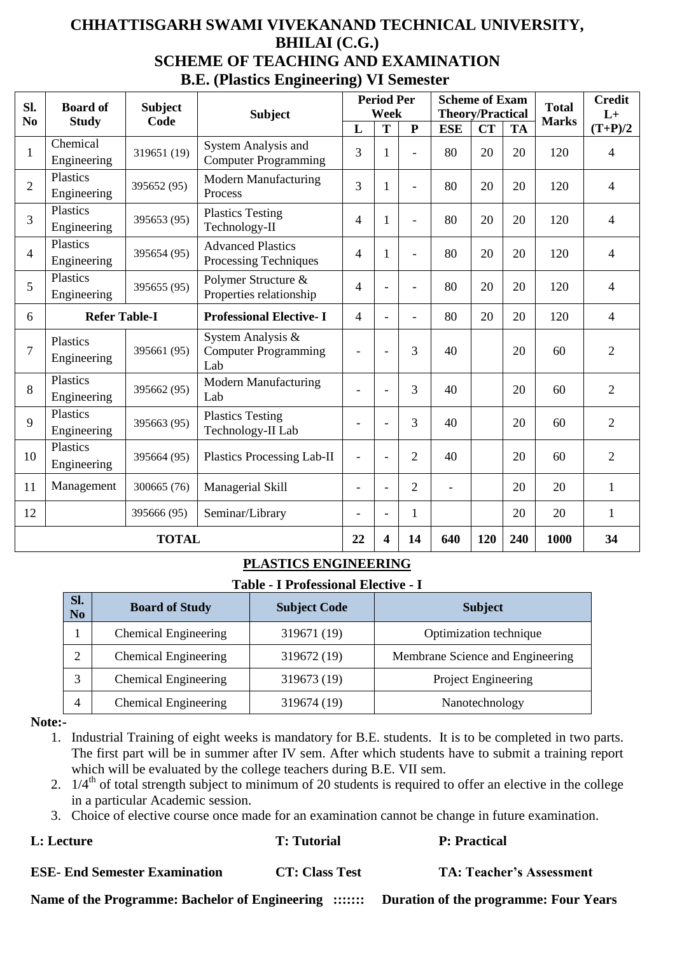### **CHHATTISGARH SWAMI VIVEKANAND TECHNICAL UNIVERSITY, BHILAI (C.G.) SCHEME OF TEACHING AND EXAMINATION B.E. (Plastics Engineering) VI Semester**

| Sl.                                  | <b>Board of</b>         | <b>Subject</b> | <b>Subject</b>                                          |                          | <b>Period Per</b><br>Week |                | <b>Scheme of Exam</b><br><b>Theory/Practical</b> |     |              | <b>Total</b> | <b>Credit</b><br>$L+$ |
|--------------------------------------|-------------------------|----------------|---------------------------------------------------------|--------------------------|---------------------------|----------------|--------------------------------------------------|-----|--------------|--------------|-----------------------|
| No                                   | <b>Study</b>            | Code           |                                                         | L                        | T                         | ${\bf P}$      | <b>ESE</b>                                       | CT  | <b>TA</b>    | <b>Marks</b> | $(T+P)/2$             |
| 1                                    | Chemical<br>Engineering | 319651 (19)    | System Analysis and<br><b>Computer Programming</b>      | 3                        | $\mathbf{1}$              | $\overline{a}$ | 80                                               | 20  | 20           | 120          | $\overline{4}$        |
| $\overline{2}$                       | Plastics<br>Engineering | 395652 (95)    | <b>Modern Manufacturing</b><br>Process                  |                          | 1                         | $\blacksquare$ | 80                                               | 20  | 20           | 120          | 4                     |
| 3                                    | Plastics<br>Engineering | 395653 (95)    | <b>Plastics Testing</b><br>Technology-II                | 4                        | 1                         |                | 80                                               | 20  | 20           | 120          | $\overline{4}$        |
| 4                                    | Plastics<br>Engineering | 395654 (95)    | <b>Advanced Plastics</b><br>Processing Techniques       | 4                        | $\mathbf 1$               | $\overline{a}$ | 80                                               | 20  | 20           | 120          | $\overline{4}$        |
| 5                                    | Plastics<br>Engineering | 395655 (95)    | Polymer Structure &<br>Properties relationship          | $\overline{4}$           | $\bar{a}$                 |                | 80                                               | 20  | 20           | 120          | $\overline{4}$        |
| 6                                    | <b>Refer Table-I</b>    |                | <b>Professional Elective-I</b>                          | 4                        | $\bar{a}$                 |                | 80                                               | 20  | 20           | 120          | $\overline{4}$        |
| 7                                    | Plastics<br>Engineering | 395661 (95)    | System Analysis &<br><b>Computer Programming</b><br>Lab |                          | $\blacksquare$            | 3              | 40                                               |     | 20           | 60           | $\overline{2}$        |
| 8                                    | Plastics<br>Engineering | 395662 (95)    | <b>Modern Manufacturing</b><br>Lab                      |                          | $\overline{a}$            | 3              | 40                                               |     | 20           | 60           | $\overline{2}$        |
| 9                                    | Plastics<br>Engineering | 395663 (95)    | <b>Plastics Testing</b><br>Technology-II Lab            |                          | L,                        | 3              | 40                                               |     | 20           | 60           | $\overline{2}$        |
| 10                                   | Plastics<br>Engineering | 395664 (95)    | <b>Plastics Processing Lab-II</b>                       | $\overline{a}$           | $\overline{a}$            | $\overline{2}$ | 40                                               |     | 20           | 60           | $\overline{2}$        |
| 11                                   | Management              | 300665 (76)    | Managerial Skill                                        | $\overline{\phantom{0}}$ | $\overline{\phantom{a}}$  | $\overline{2}$ |                                                  |     | 20           | 20           | $\mathbf{1}$          |
| 12<br>Seminar/Library<br>395666 (95) |                         | $\overline{a}$ | $\blacksquare$                                          | 1                        |                           |                | 20                                               | 20  | $\mathbf{1}$ |              |                       |
|                                      | <b>TOTAL</b>            |                |                                                         | 22                       | 4                         | 14             | 640                                              | 120 | 240          | 1000         | 34                    |

#### **PLASTICS ENGINEERING**

#### **Table - I Professional Elective - I**

| SI.<br>N <sub>o</sub> | <b>Board of Study</b>       | <b>Subject Code</b> | <b>Subject</b>                   |
|-----------------------|-----------------------------|---------------------|----------------------------------|
|                       | <b>Chemical Engineering</b> | 319671 (19)         | Optimization technique           |
|                       | <b>Chemical Engineering</b> | 319672 (19)         | Membrane Science and Engineering |
| 3                     | <b>Chemical Engineering</b> | 319673 (19)         | Project Engineering              |
| 4                     | <b>Chemical Engineering</b> | 319674 (19)         | Nanotechnology                   |

#### **Note:-**

- 1. Industrial Training of eight weeks is mandatory for B.E. students. It is to be completed in two parts. The first part will be in summer after IV sem. After which students have to submit a training report which will be evaluated by the college teachers during B.E. VII sem.
- 2.  $1/4^{\text{th}}$  of total strength subject to minimum of 20 students is required to offer an elective in the college in a particular Academic session.
- 3. Choice of elective course once made for an examination cannot be change in future examination.

| <b>L: Lecture</b>                    | <b>T:</b> Tutorial    | <b>P</b> : Practical            |
|--------------------------------------|-----------------------|---------------------------------|
| <b>ESE- End Semester Examination</b> | <b>CT: Class Test</b> | <b>TA: Teacher's Assessment</b> |

**Name of the Programme: Bachelor of Engineering ::::::: Duration of the programme: Four Years**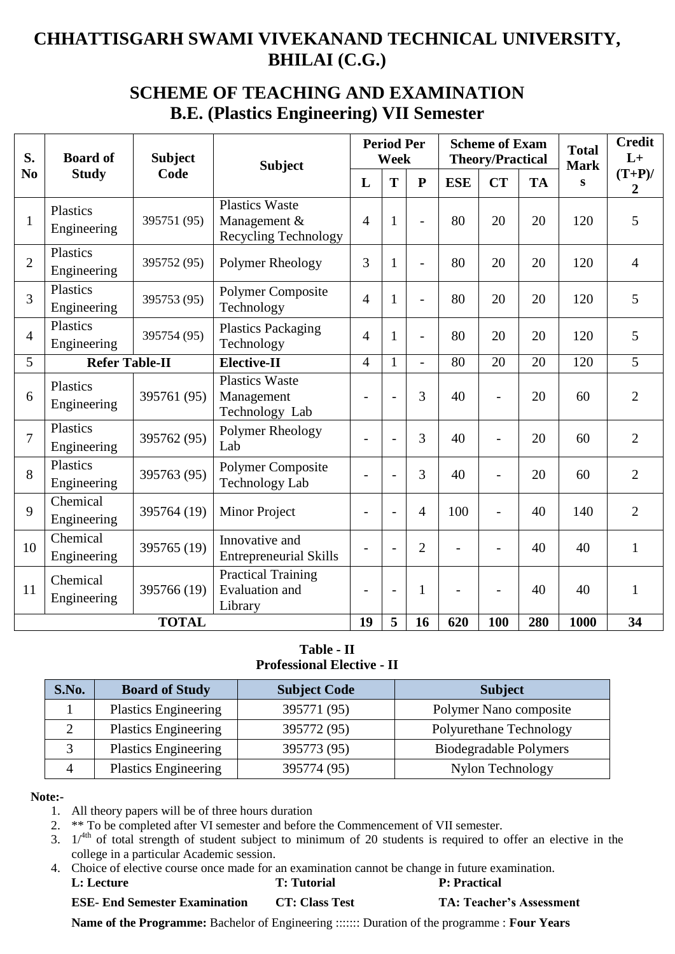## **SCHEME OF TEACHING AND EXAMINATION B.E. (Plastics Engineering) VII Semester**

| S.             | <b>Board of</b>                | <b>Subject</b> | <b>Period Per</b><br><b>Week</b><br><b>Subject</b>            |                          |                          | <b>Scheme of Exam</b><br><b>Theory/Practical</b> |            | <b>Total</b><br><b>Mark</b> | <b>Credit</b><br>$L+$ |      |                             |
|----------------|--------------------------------|----------------|---------------------------------------------------------------|--------------------------|--------------------------|--------------------------------------------------|------------|-----------------------------|-----------------------|------|-----------------------------|
| N <sub>0</sub> | <b>Study</b>                   | Code           |                                                               | L                        | T                        | ${\bf P}$                                        | <b>ESE</b> | <b>CT</b>                   | <b>TA</b>             | S    | $(T+P)$ /<br>$\overline{2}$ |
| $\mathbf{1}$   | <b>Plastics</b><br>Engineering | 395751 (95)    | <b>Plastics Waste</b><br>Management &<br>Recycling Technology | $\overline{4}$           | 1                        |                                                  | 80         | 20                          | 20                    | 120  | 5                           |
| $\overline{2}$ | Plastics<br>Engineering        | 395752 (95)    | Polymer Rheology                                              | 3                        | $\mathbf{1}$             |                                                  | 80         | 20                          | 20                    | 120  | $\overline{4}$              |
| 3              | <b>Plastics</b><br>Engineering | 395753 (95)    | <b>Polymer Composite</b><br>Technology                        | 4                        | 1                        |                                                  | 80         | 20                          | 20                    | 120  | 5                           |
| $\overline{4}$ | <b>Plastics</b><br>Engineering | 395754 (95)    | <b>Plastics Packaging</b><br>Technology                       | 4                        | 1                        | $\overline{\phantom{0}}$                         | 80         | 20                          | 20                    | 120  | 5                           |
| 5              | <b>Refer Table-II</b>          |                | Elective-II                                                   | $\overline{4}$           | $\mathbf{1}$             | $\overline{a}$                                   | 80         | 20                          | 20                    | 120  | $\overline{5}$              |
| 6              | <b>Plastics</b><br>Engineering | 395761 (95)    | <b>Plastics Waste</b><br>Management<br>Technology Lab         | $\overline{a}$           |                          | 3                                                | 40         |                             | 20                    | 60   | $\overline{2}$              |
| $\overline{7}$ | Plastics<br>Engineering        | 395762 (95)    | Polymer Rheology<br>Lab                                       | $\overline{a}$           |                          | 3                                                | 40         |                             | 20                    | 60   | $\overline{2}$              |
| 8              | <b>Plastics</b><br>Engineering | 395763 (95)    | Polymer Composite<br><b>Technology Lab</b>                    | $\overline{\phantom{a}}$ |                          | 3                                                | 40         |                             | 20                    | 60   | $\overline{2}$              |
| 9              | Chemical<br>Engineering        | 395764 (19)    | Minor Project                                                 | $\overline{\phantom{a}}$ |                          | $\overline{4}$                                   | 100        |                             | 40                    | 140  | $\overline{2}$              |
| 10             | Chemical<br>Engineering        | 395765 (19)    | Innovative and<br><b>Entrepreneurial Skills</b>               | $\overline{\phantom{0}}$ | $\overline{\phantom{0}}$ | $\overline{2}$                                   |            |                             | 40                    | 40   | $\mathbf{1}$                |
| 11             | Chemical<br>Engineering        | 395766 (19)    | <b>Practical Training</b><br><b>Evaluation</b> and<br>Library | $\overline{\phantom{0}}$ |                          | 1                                                |            |                             | 40                    | 40   | $\mathbf{1}$                |
|                |                                | <b>TOTAL</b>   |                                                               | 19                       | 5                        | 16                                               | 620        | 100                         | 280                   | 1000 | 34                          |

#### **Table - II Professional Elective - II**

| S.No. | <b>Board of Study</b>       | <b>Subject Code</b> | <b>Subject</b>          |
|-------|-----------------------------|---------------------|-------------------------|
|       | <b>Plastics Engineering</b> | 395771 (95)         | Polymer Nano composite  |
|       | <b>Plastics Engineering</b> | 395772 (95)         | Polyurethane Technology |
|       | <b>Plastics Engineering</b> | 395773 (95)         | Biodegradable Polymers  |
|       | <b>Plastics Engineering</b> | 395774 (95)         | Nylon Technology        |

#### **Note:-**

1. All theory papers will be of three hours duration

2. \*\* To be completed after VI semester and before the Commencement of VII semester.

3.  $1/4$ <sup>th</sup> of total strength of student subject to minimum of 20 students is required to offer an elective in the college in a particular Academic session.

4. Choice of elective course once made for an examination cannot be change in future examination.

**L: Lecture T: Tutorial P: Practical** 

**ESE- End Semester Examination CT: Class Test TA: Teacher's Assessment**

**Name of the Programme:** Bachelor of Engineering ::::::: Duration of the programme : **Four Years**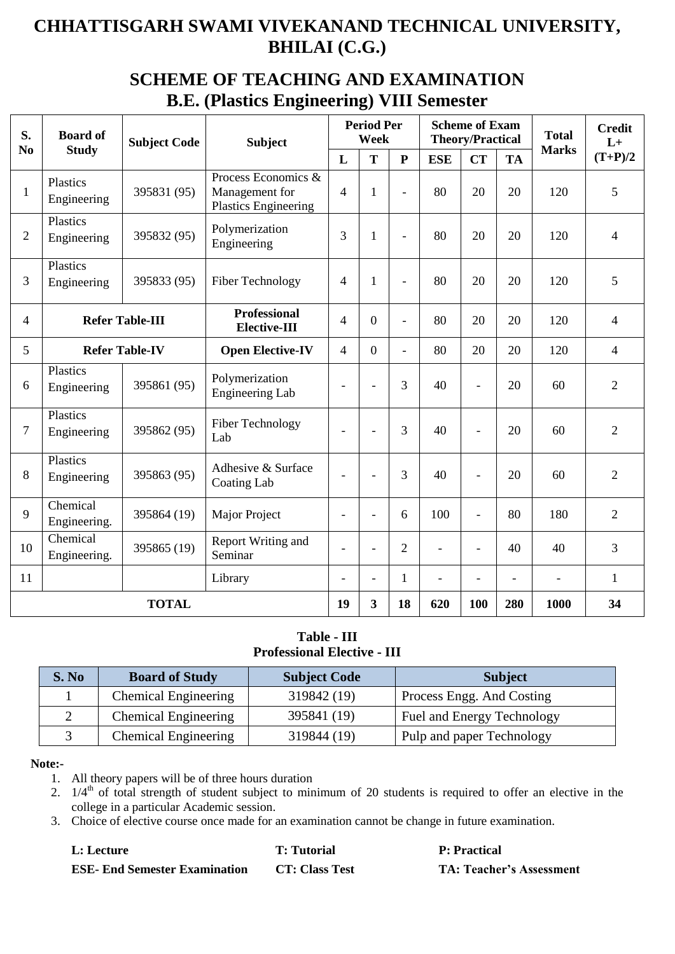### **SCHEME OF TEACHING AND EXAMINATION B.E. (Plastics Engineering) VIII Semester**

| S.             | <b>Board of</b>          | <b>Subject Code</b>    | <b>Subject</b>                                                       |                          | <b>Period Per</b><br>Week |                |                | <b>Scheme of Exam</b><br><b>Theory/Practical</b> |                | <b>Total</b>   | <b>Credit</b><br>$L+$ |
|----------------|--------------------------|------------------------|----------------------------------------------------------------------|--------------------------|---------------------------|----------------|----------------|--------------------------------------------------|----------------|----------------|-----------------------|
| N <sub>0</sub> | <b>Study</b>             |                        |                                                                      | L                        | T                         | $\mathbf{P}$   | <b>ESE</b>     | <b>CT</b>                                        | <b>TA</b>      | <b>Marks</b>   | $(T+P)/2$             |
| $\mathbf{1}$   | Plastics<br>Engineering  | 395831 (95)            | Process Economics &<br>Management for<br><b>Plastics Engineering</b> | $\overline{\mathcal{L}}$ | 1                         | $\overline{a}$ | 80             | 20                                               | 20             | 120            | 5                     |
| $\overline{2}$ | Plastics<br>Engineering  | 395832 (95)            | Polymerization<br>Engineering                                        | 3                        | $\mathbf{1}$              | $\overline{a}$ | 80             | 20                                               | 20             | 120            | 4                     |
| 3              | Plastics<br>Engineering  | 395833 (95)            | <b>Fiber Technology</b>                                              | 4                        | 1                         | $\blacksquare$ | 80             | 20                                               | 20             | 120            | 5                     |
| 4              |                          | <b>Refer Table-III</b> | <b>Professional</b><br>Elective-III                                  |                          | $\Omega$                  | $\overline{a}$ | 80             | 20                                               | 20             | 120            | $\overline{4}$        |
| 5              | <b>Refer Table-IV</b>    |                        | <b>Open Elective-IV</b>                                              | 4                        | $\overline{0}$            | $\overline{a}$ | 80             | 20                                               | 20             | 120            | $\overline{4}$        |
| 6              | Plastics<br>Engineering  | 395861 (95)            | Polymerization<br><b>Engineering Lab</b>                             |                          | $\overline{a}$            | 3              | 40             |                                                  | 20             | 60             | $\overline{2}$        |
| $\tau$         | Plastics<br>Engineering  | 395862 (95)            | <b>Fiber Technology</b><br>Lab                                       |                          |                           | 3              | 40             |                                                  | 20             | 60             | $\overline{2}$        |
| 8              | Plastics<br>Engineering  | 395863 (95)            | Adhesive & Surface<br><b>Coating Lab</b>                             | $\overline{\phantom{a}}$ | $\overline{\phantom{a}}$  | 3              | 40             | $\overline{\phantom{a}}$                         | 20             | 60             | $\overline{2}$        |
| 9              | Chemical<br>Engineering. | 395864 (19)            | Major Project                                                        | $\overline{\phantom{a}}$ | $\overline{\phantom{0}}$  | 6              | 100            | $\overline{a}$                                   | 80             | 180            | $\overline{2}$        |
| 10             | Chemical<br>Engineering. | 395865 (19)            | Report Writing and<br>Seminar                                        |                          | ۳                         | $\overline{2}$ | $\overline{a}$ |                                                  | 40             | 40             | 3                     |
| 11             |                          |                        | Library                                                              | $\overline{\phantom{a}}$ | $\overline{\phantom{0}}$  | 1              | $\overline{a}$ |                                                  | $\overline{a}$ | $\overline{a}$ | 1                     |
| <b>TOTAL</b>   |                          |                        |                                                                      | 19                       | 3                         | 18             | 620            | 100                                              | 280            | 1000           | 34                    |

#### **Table - III Professional Elective - III**

| S. No | <b>Board of Study</b>       | <b>Subject Code</b> | <b>Subject</b>             |
|-------|-----------------------------|---------------------|----------------------------|
|       | <b>Chemical Engineering</b> | 319842 (19)         | Process Engg. And Costing  |
|       | <b>Chemical Engineering</b> | 395841 (19)         | Fuel and Energy Technology |
|       | Chemical Engineering        | 319844 (19)         | Pulp and paper Technology  |

#### **Note:-**

1. All theory papers will be of three hours duration

2. 1/4<sup>th</sup> of total strength of student subject to minimum of 20 students is required to offer an elective in the college in a particular Academic session.

3. Choice of elective course once made for an examination cannot be change in future examination.

| L: Lecture                           | <b>T:</b> Tutorial    | <b>P:</b> Practical             |
|--------------------------------------|-----------------------|---------------------------------|
| <b>ESE- End Semester Examination</b> | <b>CT: Class Test</b> | <b>TA: Teacher's Assessment</b> |